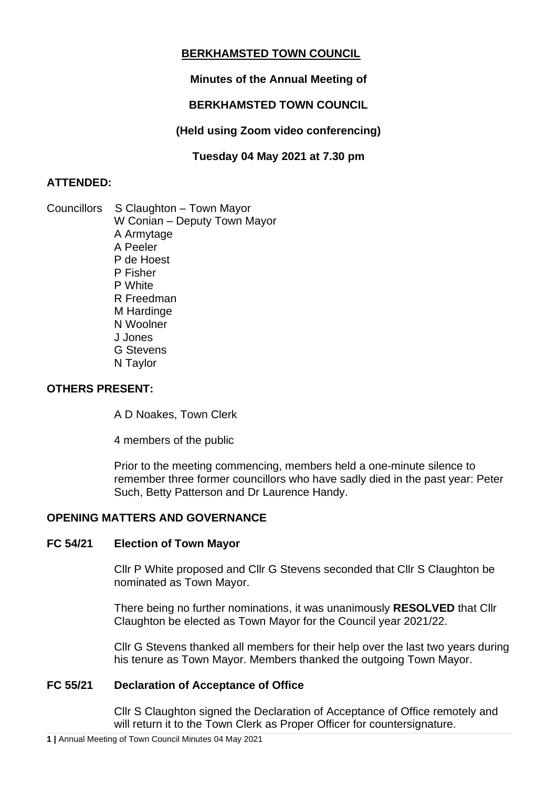# **BERKHAMSTED TOWN COUNCIL**

# **Minutes of the Annual Meeting of**

# **BERKHAMSTED TOWN COUNCIL**

# **(Held using Zoom video conferencing)**

**Tuesday 04 May 2021 at 7.30 pm**

# **ATTENDED:**

Councillors S Claughton – Town Mayor W Conian – Deputy Town Mayor A Armytage A Peeler P de Hoest P Fisher P White R Freedman M Hardinge N Woolner J Jones G Stevens N Taylor

# **OTHERS PRESENT:**

A D Noakes, Town Clerk

4 members of the public

Prior to the meeting commencing, members held a one-minute silence to remember three former councillors who have sadly died in the past year: Peter Such, Betty Patterson and Dr Laurence Handy.

## **OPENING MATTERS AND GOVERNANCE**

## **FC 54/21 Election of Town Mayor**

Cllr P White proposed and Cllr G Stevens seconded that Cllr S Claughton be nominated as Town Mayor.

There being no further nominations, it was unanimously **RESOLVED** that Cllr Claughton be elected as Town Mayor for the Council year 2021/22.

Cllr G Stevens thanked all members for their help over the last two years during his tenure as Town Mayor. Members thanked the outgoing Town Mayor.

## **FC 55/21 Declaration of Acceptance of Office**

Cllr S Claughton signed the Declaration of Acceptance of Office remotely and will return it to the Town Clerk as Proper Officer for countersignature.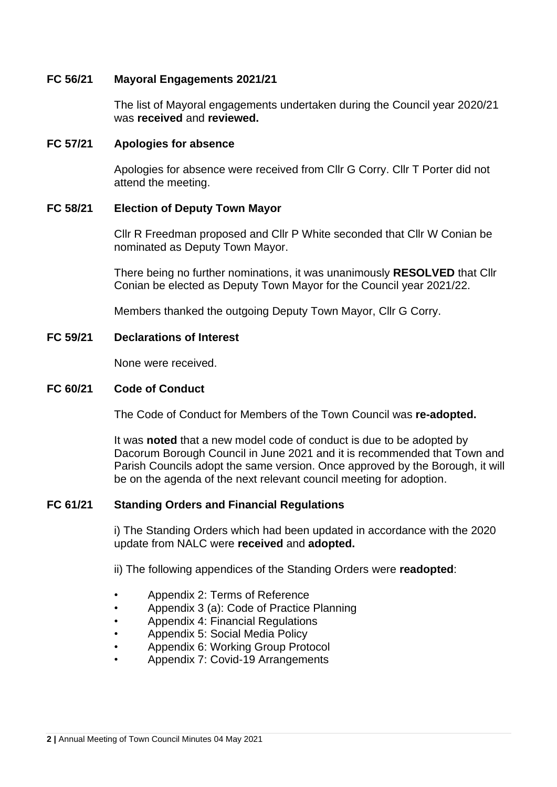### **FC 56/21 Mayoral Engagements 2021/21**

The list of Mayoral engagements undertaken during the Council year 2020/21 was **received** and **reviewed.**

### **FC 57/21 Apologies for absence**

Apologies for absence were received from Cllr G Corry. Cllr T Porter did not attend the meeting.

### **FC 58/21 Election of Deputy Town Mayor**

Cllr R Freedman proposed and Cllr P White seconded that Cllr W Conian be nominated as Deputy Town Mayor.

There being no further nominations, it was unanimously **RESOLVED** that Cllr Conian be elected as Deputy Town Mayor for the Council year 2021/22.

Members thanked the outgoing Deputy Town Mayor, Cllr G Corry.

### **FC 59/21 Declarations of Interest**

None were received.

### **FC 60/21 Code of Conduct**

The Code of Conduct for Members of the Town Council was **re-adopted.**

It was **noted** that a new model code of conduct is due to be adopted by Dacorum Borough Council in June 2021 and it is recommended that Town and Parish Councils adopt the same version. Once approved by the Borough, it will be on the agenda of the next relevant council meeting for adoption.

### **FC 61/21 Standing Orders and Financial Regulations**

i) The Standing Orders which had been updated in accordance with the 2020 update from NALC were **received** and **adopted.**

ii) The following appendices of the Standing Orders were **readopted**:

- Appendix 2: Terms of Reference
- Appendix 3 (a): Code of Practice Planning
- Appendix 4: Financial Regulations
- Appendix 5: Social Media Policy
- Appendix 6: Working Group Protocol
- Appendix 7: Covid-19 Arrangements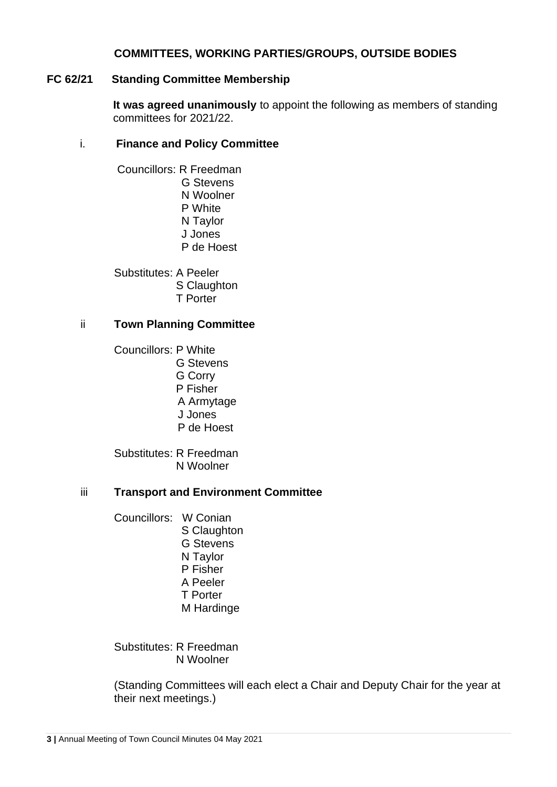# **COMMITTEES, WORKING PARTIES/GROUPS, OUTSIDE BODIES**

### **FC 62/21 Standing Committee Membership**

**It was agreed unanimously** to appoint the following as members of standing committees for 2021/22.

## i. **Finance and Policy Committee**

Councillors: R Freedman G Stevens N Woolner P White N Taylor J Jones P de Hoest

Substitutes: A Peeler S Claughton T Porter

## ii **Town Planning Committee**

Councillors: P White G Stevens G Corry P Fisher A Armytage J Jones P de Hoest

Substitutes: R Freedman N Woolner

### iii **Transport and Environment Committee**

Councillors: W Conian S Claughton G Stevens N Taylor P Fisher A Peeler T Porter M Hardinge

Substitutes: R Freedman N Woolner

(Standing Committees will each elect a Chair and Deputy Chair for the year at their next meetings.)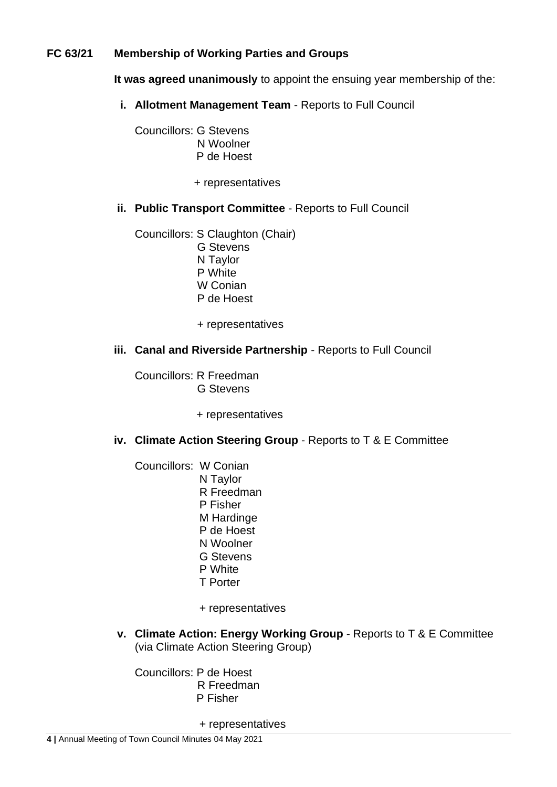# **FC 63/21 Membership of Working Parties and Groups**

**It was agreed unanimously** to appoint the ensuing year membership of the:

**i. Allotment Management Team** - Reports to Full Council

Councillors: G Stevens N Woolner P de Hoest

+ representatives

## **ii. Public Transport Committee** - Reports to Full Council

Councillors: S Claughton (Chair) G Stevens N Taylor P White W Conian P de Hoest

+ representatives

## **iii. Canal and Riverside Partnership** - Reports to Full Council

Councillors: R Freedman G Stevens

+ representatives

## **iv. Climate Action Steering Group** - Reports to T & E Committee

Councillors: W Conian

- N Taylor R Freedman P Fisher M Hardinge P de Hoest N Woolner G Stevens P White T Porter
- + representatives
- **v. Climate Action: Energy Working Group** Reports to T & E Committee (via Climate Action Steering Group)

Councillors: P de Hoest R Freedman P Fisher

#### + representatives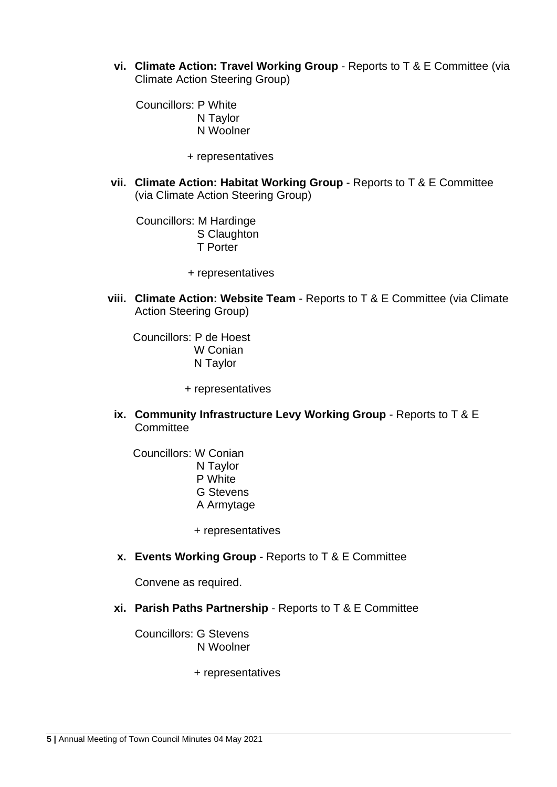**vi. Climate Action: Travel Working Group** - Reports to T & E Committee (via Climate Action Steering Group)

 Councillors: P White N Taylor N Woolner

+ representatives

**vii. Climate Action: Habitat Working Group** - Reports to T & E Committee (via Climate Action Steering Group)

 Councillors: M Hardinge S Claughton T Porter

- + representatives
- **viii. Climate Action: Website Team** Reports to T & E Committee (via Climate Action Steering Group)

 Councillors: P de Hoest W Conian N Taylor

- + representatives
- **ix. Community Infrastructure Levy Working Group** Reports to T & E **Committee**

Councillors: W Conian

- N Taylor
- P White
- G Stevens
- A Armytage

+ representatives

**x. Events Working Group** - Reports to T & E Committee

Convene as required.

**xi. Parish Paths Partnership** - Reports to T & E Committee

Councillors: G Stevens N Woolner

+ representatives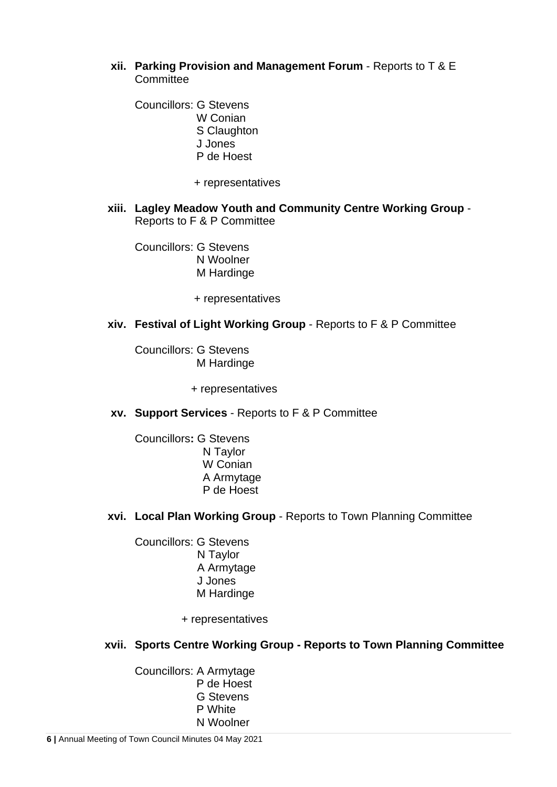**xii. Parking Provision and Management Forum** - Reports to T & E **Committee** 

Councillors: G Stevens W Conian S Claughton J Jones P de Hoest

+ representatives

**xiii. Lagley Meadow Youth and Community Centre Working Group** - Reports to F & P Committee

Councillors: G Stevens N Woolner M Hardinge

+ representatives

### **xiv. Festival of Light Working Group** - Reports to F & P Committee

Councillors: G Stevens M Hardinge

+ representatives

**xv. Support Services** - Reports to F & P Committee

Councillors**:** G Stevens N Taylor W Conian A Armytage P de Hoest

**xvi. Local Plan Working Group** - Reports to Town Planning Committee

Councillors: G Stevens N Taylor A Armytage J Jones M Hardinge

+ representatives

### **xvii. Sports Centre Working Group - Reports to Town Planning Committee**

Councillors: A Armytage P de Hoest G Stevens P White N Woolner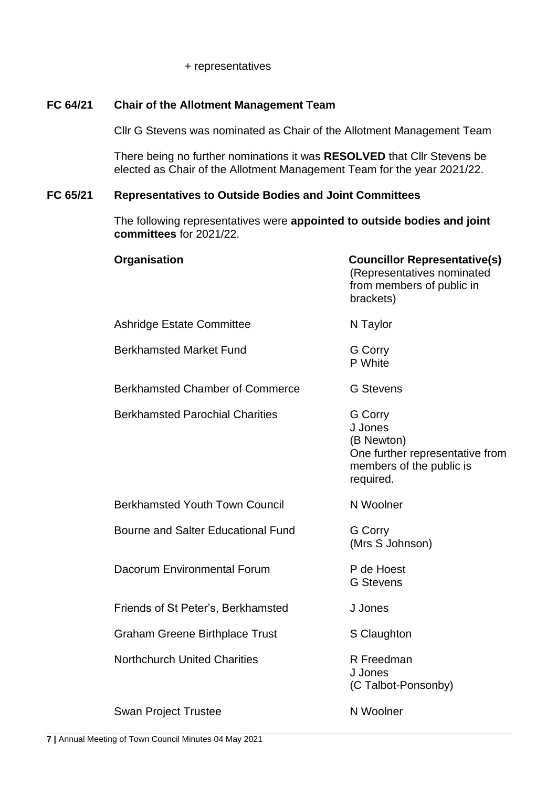+ representatives

## **FC 64/21 Chair of the Allotment Management Team**

Cllr G Stevens was nominated as Chair of the Allotment Management Team

There being no further nominations it was **RESOLVED** that Cllr Stevens be elected as Chair of the Allotment Management Team for the year 2021/22.

# **FC 65/21 Representatives to Outside Bodies and Joint Committees**

The following representatives were **appointed to outside bodies and joint committees** for 2021/22.

| Organisation                              | <b>Councillor Representative(s)</b><br>(Representatives nominated<br>from members of public in<br>brackets)  |
|-------------------------------------------|--------------------------------------------------------------------------------------------------------------|
| <b>Ashridge Estate Committee</b>          | N Taylor                                                                                                     |
| <b>Berkhamsted Market Fund</b>            | <b>G</b> Corry<br>P White                                                                                    |
| Berkhamsted Chamber of Commerce           | <b>G</b> Stevens                                                                                             |
| <b>Berkhamsted Parochial Charities</b>    | G Corry<br>J Jones<br>(B Newton)<br>One further representative from<br>members of the public is<br>required. |
| <b>Berkhamsted Youth Town Council</b>     | N Woolner                                                                                                    |
| <b>Bourne and Salter Educational Fund</b> | <b>G</b> Corry<br>(Mrs S Johnson)                                                                            |
| Dacorum Environmental Forum               | P de Hoest<br><b>G</b> Stevens                                                                               |
| Friends of St Peter's, Berkhamsted        | J Jones                                                                                                      |
| <b>Graham Greene Birthplace Trust</b>     | S Claughton                                                                                                  |
| <b>Northchurch United Charities</b>       | R Freedman<br>J Jones<br>(C Talbot-Ponsonby)                                                                 |
| <b>Swan Project Trustee</b>               | N Woolner                                                                                                    |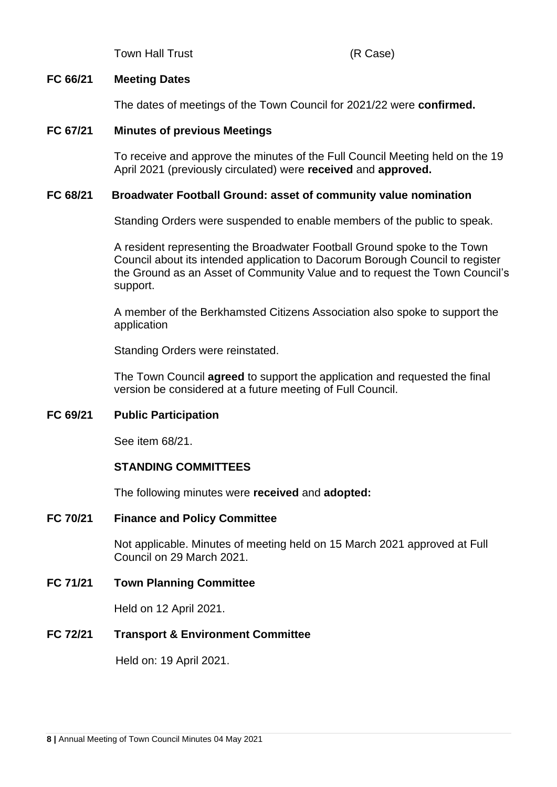Town Hall Trust (R Case)

## **FC 66/21 Meeting Dates**

The dates of meetings of the Town Council for 2021/22 were **confirmed.**

## **FC 67/21 Minutes of previous Meetings**

To receive and approve the minutes of the Full Council Meeting held on the 19 April 2021 (previously circulated) were **received** and **approved.** 

## **FC 68/21 Broadwater Football Ground: asset of community value nomination**

Standing Orders were suspended to enable members of the public to speak.

A resident representing the Broadwater Football Ground spoke to the Town Council about its intended application to Dacorum Borough Council to register the Ground as an Asset of Community Value and to request the Town Council's support.

A member of the Berkhamsted Citizens Association also spoke to support the application

Standing Orders were reinstated.

The Town Council **agreed** to support the application and requested the final version be considered at a future meeting of Full Council.

# **FC 69/21 Public Participation**

See item 68/21.

# **STANDING COMMITTEES**

The following minutes were **received** and **adopted:** 

## **FC 70/21 Finance and Policy Committee**

Not applicable. Minutes of meeting held on 15 March 2021 approved at Full Council on 29 March 2021.

## **FC 71/21 Town Planning Committee**

Held on 12 April 2021.

# **FC 72/21 Transport & Environment Committee**

Held on: 19 April 2021.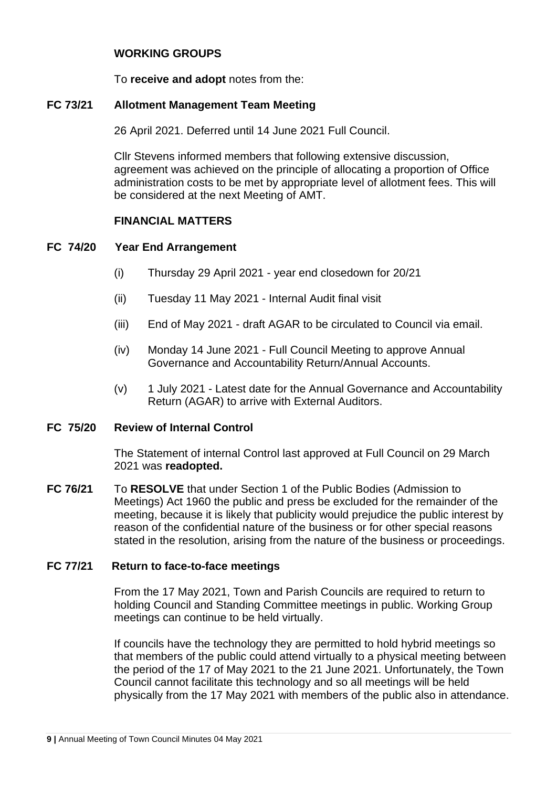# **WORKING GROUPS**

To **receive and adopt** notes from the:

## **FC 73/21 Allotment Management Team Meeting**

26 April 2021. Deferred until 14 June 2021 Full Council.

Cllr Stevens informed members that following extensive discussion, agreement was achieved on the principle of allocating a proportion of Office administration costs to be met by appropriate level of allotment fees. This will be considered at the next Meeting of AMT.

## **FINANCIAL MATTERS**

## **FC 74/20 Year End Arrangement**

- (i) Thursday 29 April 2021 year end closedown for 20/21
- (ii) Tuesday 11 May 2021 Internal Audit final visit
- (iii) End of May 2021 draft AGAR to be circulated to Council via email.
- (iv) Monday 14 June 2021 Full Council Meeting to approve Annual Governance and Accountability Return/Annual Accounts.
- (v) 1 July 2021 Latest date for the Annual Governance and Accountability Return (AGAR) to arrive with External Auditors.

### **FC 75/20 Review of Internal Control**

The Statement of internal Control last approved at Full Council on 29 March 2021 was **readopted.** 

**FC 76/21** To **RESOLVE** that under Section 1 of the Public Bodies (Admission to Meetings) Act 1960 the public and press be excluded for the remainder of the meeting, because it is likely that publicity would prejudice the public interest by reason of the confidential nature of the business or for other special reasons stated in the resolution, arising from the nature of the business or proceedings.

## **FC 77/21 Return to face-to-face meetings**

From the 17 May 2021, Town and Parish Councils are required to return to holding Council and Standing Committee meetings in public. Working Group meetings can continue to be held virtually.

If councils have the technology they are permitted to hold hybrid meetings so that members of the public could attend virtually to a physical meeting between the period of the 17 of May 2021 to the 21 June 2021. Unfortunately, the Town Council cannot facilitate this technology and so all meetings will be held physically from the 17 May 2021 with members of the public also in attendance.